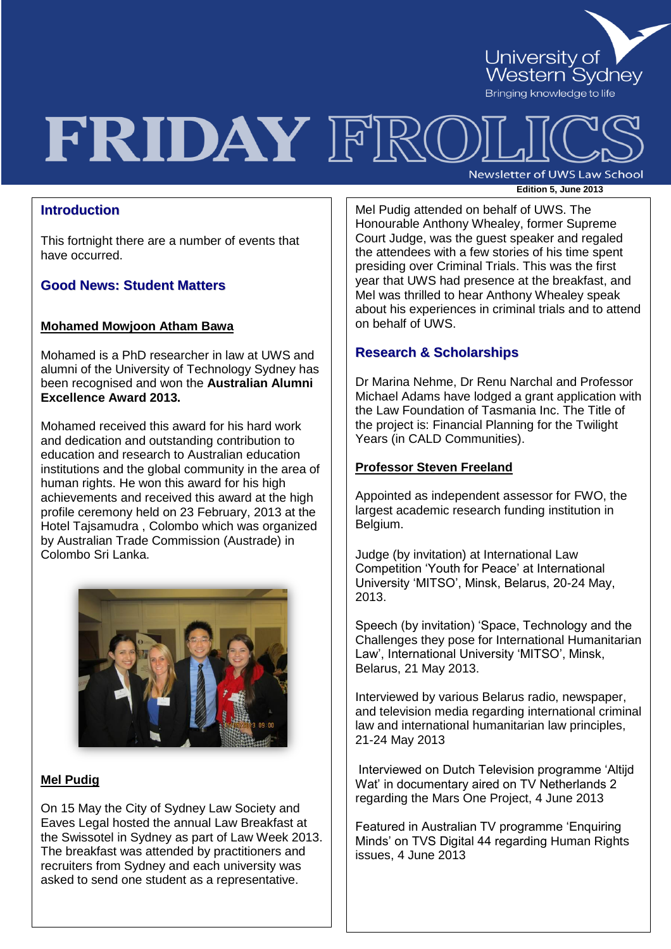

# FRIDAY FRO

Newsletter of UWS Law School **Edition 5, June <sup>2013</sup>**

# **Introduction**

This fortnight there are a number of events that have occurred.

## **Good News: Student Matters**

#### **Mohamed Mowjoon Atham Bawa**

Mohamed is a PhD researcher in law at UWS and alumni of the University of Technology Sydney has been recognised and won the **Australian Alumni Excellence Award 2013.** 

Mohamed received this award for his hard work and dedication and outstanding contribution to education and research to Australian education institutions and the global community in the area of human rights. He won this award for his high achievements and received this award at the high profile ceremony held on 23 February, 2013 at the Hotel Tajsamudra , Colombo which was organized by Australian Trade Commission (Austrade) in Colombo Sri Lanka.



#### **Mel Pudig**

On 15 May the City of Sydney Law Society and Eaves Legal hosted the annual Law Breakfast at the Swissotel in Sydney as part of Law Week 2013. The breakfast was attended by practitioners and recruiters from Sydney and each university was asked to send one student as a representative.

the attendees with a few stories of his time spent Mel Pudig attended on behalf of UWS. The Honourable Anthony Whealey, former Supreme Court Judge, was the guest speaker and regaled presiding over Criminal Trials. This was the first year that UWS had presence at the breakfast, and Mel was thrilled to hear Anthony Whealey speak about his experiences in criminal trials and to attend on behalf of UWS.

# **Research & Scholarships**

Dr Marina Nehme, Dr Renu Narchal and Professor Michael Adams have lodged a grant application with the Law Foundation of Tasmania Inc. The Title of the project is: Financial Planning for the Twilight Years (in CALD Communities).

#### **Professor Steven Freeland**

Appointed as independent assessor for FWO, the largest academic research funding institution in Belgium.

Judge (by invitation) at International Law Competition 'Youth for Peace' at International University 'MITSO', Minsk, Belarus, 20-24 May, 2013.

Speech (by invitation) 'Space, Technology and the Challenges they pose for International Humanitarian Law', International University 'MITSO', Minsk, Belarus, 21 May 2013.

Interviewed by various Belarus radio, newspaper, and television media regarding international criminal law and international humanitarian law principles, 21-24 May 2013

Interviewed on Dutch Television programme 'Altijd Wat' in documentary aired on TV Netherlands 2 regarding the Mars One Project, 4 June 2013

Featured in Australian TV programme 'Enquiring Minds' on TVS Digital 44 regarding Human Rights issues, 4 June 2013